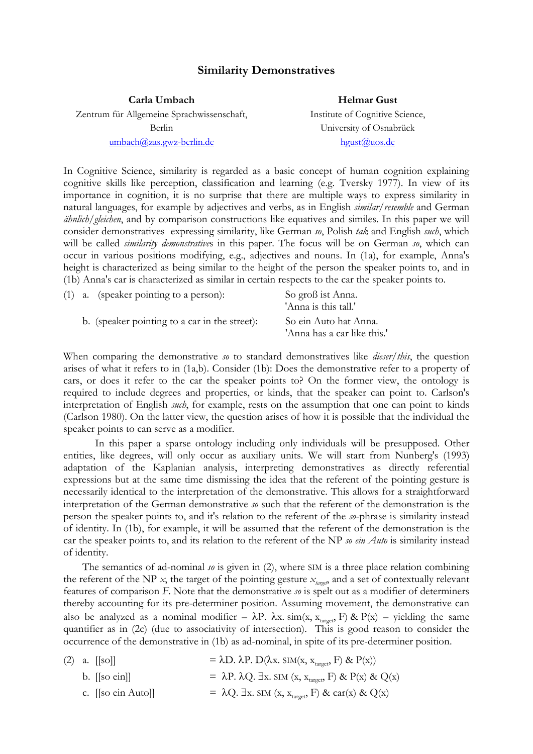## **Similarity Demonstratives**

**Carla Umbach**  Zentrum für Allgemeine Sprachwissenschaft, Berlin umbach@zas.gwz-berlin.de **Helmar Gust** Institute of Cognitive Science, University of Osnabrück hgust@uos.de

In Cognitive Science, similarity is regarded as a basic concept of human cognition explaining cognitive skills like perception, classification and learning (e.g. Tversky 1977). In view of its importance in cognition, it is no surprise that there are multiple ways to express similarity in natural languages, for example by adjectives and verbs, as in English *similar*/*resemble* and German *ähnlich*/*gleichen*, and by comparison constructions like equatives and similes. In this paper we will consider demonstratives expressing similarity, like German *so*, Polish *tak* and English *such*, which will be called *similarity demonstrative*s in this paper. The focus will be on German *so*, which can occur in various positions modifying, e.g., adjectives and nouns. In (1a), for example, Anna's height is characterized as being similar to the height of the person the speaker points to, and in (1b) Anna's car is characterized as similar in certain respects to the car the speaker points to.

|  | $(1)$ a. (speaker pointing to a person):      | So groß ist Anna.<br>'Anna is this tall.'            |
|--|-----------------------------------------------|------------------------------------------------------|
|  | b. (speaker pointing to a car in the street): | So ein Auto hat Anna.<br>'Anna has a car like this.' |

When comparing the demonstrative *so* to standard demonstratives like *dieser*/*this*, the question arises of what it refers to in (1a,b). Consider (1b): Does the demonstrative refer to a property of cars, or does it refer to the car the speaker points to? On the former view, the ontology is required to include degrees and properties, or kinds, that the speaker can point to. Carlson's interpretation of English *such*, for example, rests on the assumption that one can point to kinds (Carlson 1980). On the latter view, the question arises of how it is possible that the individual the speaker points to can serve as a modifier.

 In this paper a sparse ontology including only individuals will be presupposed. Other entities, like degrees, will only occur as auxiliary units. We will start from Nunberg's (1993) adaptation of the Kaplanian analysis, interpreting demonstratives as directly referential expressions but at the same time dismissing the idea that the referent of the pointing gesture is necessarily identical to the interpretation of the demonstrative. This allows for a straightforward interpretation of the German demonstrative *so* such that the referent of the demonstration is the person the speaker points to, and it's relation to the referent of the *so*-phrase is similarity instead of identity. In (1b), for example, it will be assumed that the referent of the demonstration is the car the speaker points to, and its relation to the referent of the NP *so ein Auto* is similarity instead of identity.

 The semantics of ad-nominal *so* is given in (2), where SIM is a three place relation combining the referent of the NP  $x$ , the target of the pointing gesture  $x_{\text{target}}$ , and a set of contextually relevant features of comparison *F*. Note that the demonstrative *so* is spelt out as a modifier of determiners thereby accounting for its pre-determiner position. Assuming movement, the demonstrative can also be analyzed as a nominal modifier –  $\lambda P$ .  $\lambda x$ . sim(x, x<sub>target</sub>, F) & P(x) – yielding the same quantifier as in (2c) (due to associativity of intersection). This is good reason to consider the occurrence of the demonstrative in (1b) as ad-nominal, in spite of its pre-determiner position.

|  | $(2)$ a. $[$ so]]                 | $= \lambda D. \lambda P. D(\lambda x. SIM(x, x_{\text{target}}, F) \& P(x))$               |
|--|-----------------------------------|--------------------------------------------------------------------------------------------|
|  | b. $\left[ \text{so ein} \right]$ | = $\lambda P$ . $\lambda Q$ . $\exists x$ . SIM (x, x <sub>target</sub> , F) & P(x) & Q(x) |
|  | c. $[$ [so ein Auto]]             | = $\lambda$ Q. Ex. SIM (x, x <sub>target</sub> , F) & car(x) & Q(x)                        |